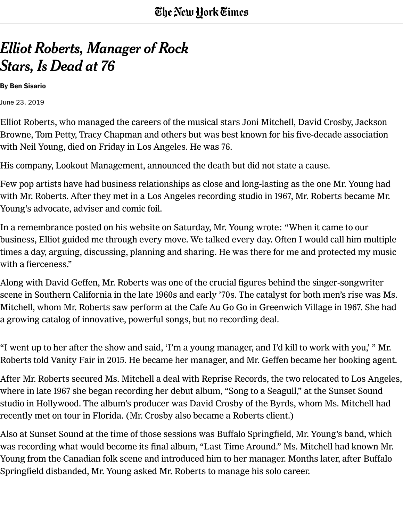## Elliot Roberts, Manager of Rock Stars, Is Dead at 76

By Ben [Sisario](https://www.nytimes.com/by/ben-sisario)

June 23, 2019

Elliot Roberts, who managed the careers of the musical stars Joni Mitchell, David Crosby, Jackson Browne, Tom Petty, Tracy Chapman and others but was best known for his five-decade association with Neil Young, died on Friday in Los Angeles. He was 76.

His company, Lookout Management, announced the death but did not state a cause.

Few pop artists have had business relationships as close and long-lasting as the one Mr. Young had with Mr. Roberts. After they met in a Los Angeles recording studio in 1967, Mr. Roberts became Mr. Young's advocate, adviser and comic foil.

In a remembrance posted on his website on Saturday, Mr. Young wrote: "When it came to our business, Elliot guided me through every move. We talked every day. Often I would call him multiple times a day, arguing, discussing, planning and sharing. He was there for me and protected my music with a fierceness."

Along with David Geffen, Mr. Roberts was one of the crucial figures behind the singer-songwriter scene in Southern California in the late 1960s and early '70s. The catalyst for both men's rise was Ms. Mitchell, whom Mr. Roberts saw perform at the Cafe Au Go Go in Greenwich Village in 1967. She had a growing catalog of innovative, powerful songs, but no recording deal.

"I went up to her after the show and said, 'I'm a young manager, and I'd kill to work with you,' " Mr. Roberts told Vanity Fair in 2015. He became her manager, and Mr. Geffen became her booking agent.

After Mr. Roberts secured Ms. Mitchell a deal with Reprise Records, the two relocated to Los Angeles, where in late 1967 she began recording her debut album, "Song to a Seagull," at the Sunset Sound studio in Hollywood. The album's producer was David Crosby of the Byrds, whom Ms. Mitchell had recently met on tour in Florida. (Mr. Crosby also became a Roberts client.)

Also at Sunset Sound at the time of those sessions was Buffalo Springfield, Mr. Young's band, which was recording what would become its final album, "Last Time Around." Ms. Mitchell had known Mr. Young from the Canadian folk scene and introduced him to her manager. Months later, after Buffalo Springfield disbanded, Mr. Young asked Mr. Roberts to manage his solo career.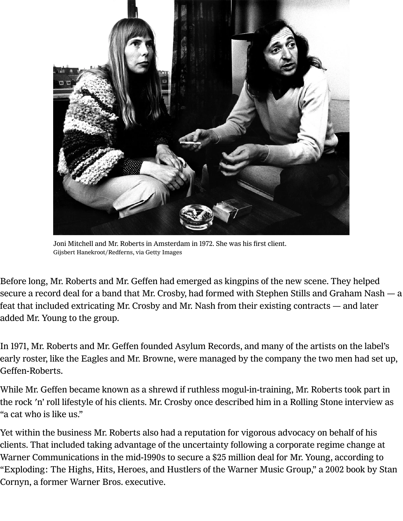

Joni Mitchell and Mr. Roberts in Amsterdam in 1972. She was his first client. Gijsbert Hanekroot/Redferns, via Getty Images

Before long, Mr. Roberts and Mr. Geffen had emerged as kingpins of the new scene. They helped secure a record deal for a band that Mr. Crosby, had formed with Stephen Stills and Graham Nash  $-$  a feat that included extricating Mr. Crosby and Mr. Nash from their existing contracts — and later added Mr. Young to the group.

In 1971, Mr. Roberts and Mr. Geffen founded Asylum Records, and many of the artists on the label's early roster, like the Eagles and Mr. Browne, were managed by the company the two men had set up, Geffen-Roberts.

While Mr. Geffen became known as a shrewd if ruthless mogul-in-training, Mr. Roberts took part in the rock 'n' roll lifestyle of his clients. Mr. Crosby once described him in a Rolling Stone interview as "a cat who is like us."

Yet within the business Mr. Roberts also had a reputation for vigorous advocacy on behalf of his clients. That included taking advantage of the uncertainty following a corporate regime change at Warner Communications in the mid-1990s to secure a \$25 million deal for Mr. Young, according to "Exploding: The Highs, Hits, Heroes, and Hustlers of the Warner Music Group," a 2002 book by Stan Cornyn, a former Warner Bros. executive.